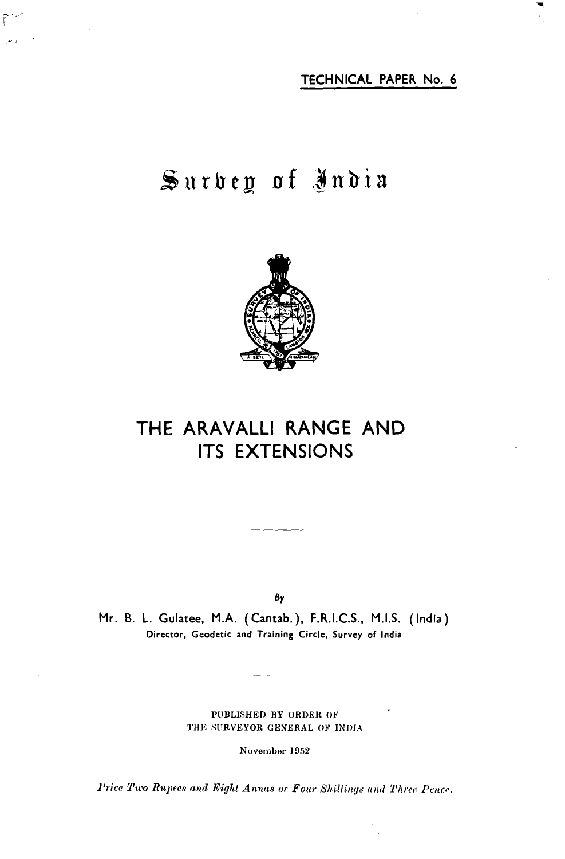**TECHNICAL PAPER No. 6** 

# Surbey of India



## **THE ARAVALLI RANGE AND ITS EXTENSIONS**

**BY** 

**Mr. B. L. Gulatee, M.A. (Cantab.), F.R.I.C.S., M.I.S. (India) Director. Geodetic and Training Circle. Survey of India** 

> **PUBLISHED BY ORDER OF 'J'HE SURVEYOR GENERAL OF 1NI)IA**

> > November 1952

Price Two Rupees and Eight Annas or Four Shillings and Three Pence.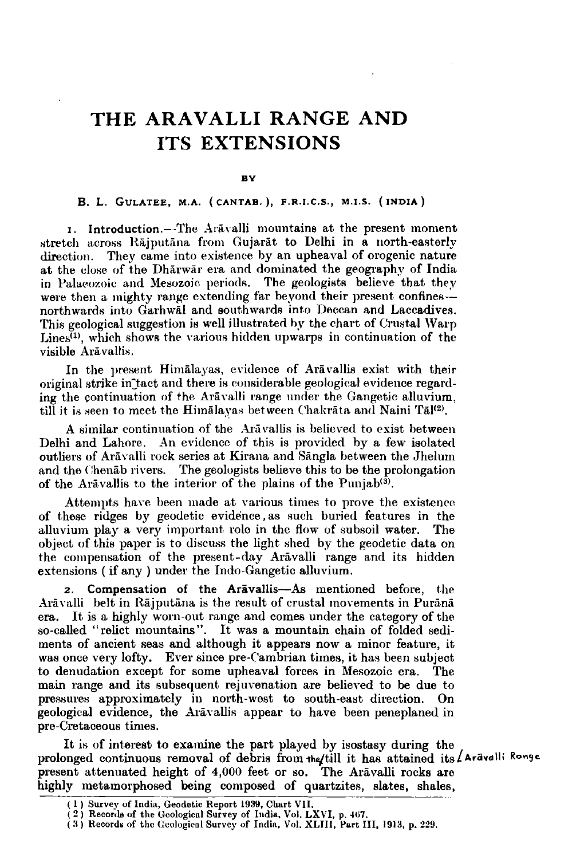### **THE ARAVALLI RANGE AND ITS EXTENSIONS**

#### **RV**

### B. L. GULATEE, M.A. (CANTAB.), F.R.I.C.S., M.I.S. (INDIA)

**I.** Introduction.-The Ar&\-alli mountains at the present moment stretch across Rājputāna from Gujarāt to Delhi in a north-easterly direction. They came into existence by an upheaval of orogenic nature at the close of the Dhārwār era and dominated the geography of India in Palaeozoic and Mesozoic periods. The geologists believe that they were then a mighty range extending far beyond their present confines-northwards into Garhwal and southwards into Deccan and Laccadives. This geological suggestion is well illustrated by the chart of Crustal Warp Lines<sup> $(I)$ </sup>, which shows the various hidden upwarps in continuation of the visible Arāvallis.

In the present Himalayas, evidence of Aravallis exist with their original strike in tact and there is considerable geological evidence regarding the continuation of the Aravalli range under the Gangetic alluvium, till it is seen to meet the Himalayas between Chakrata and Naini Tal<sup>(2)</sup>.

A similar continuation of the Aravallis is believed to exist between Delhi and Lahore. An evidence of this is provided by a few isolated outliers of Arāvalli rock series at Kirana and Sāngla between the Jhelum and the Chenab rivers. The geologists believe this to be the prolongation of the Aravallis to the interior of the plains of the Punjab<sup>(3)</sup>.

Attempts have been made at various times to prove the existence of these ridges by geodetic evidence, as such buried features in the alluvium play a very important role in the flow of subsoil water. The object of this paper is to discuss the light shed by the geodetic data on the compensation of the present-day Aravalli range and its hidden extensions ( if any ) under the Indo-Gangetic allurium.

2. **Compensation of the Aravallis-As** mentioned before, the Arāvalli belt in Rājputāna is the result of crustal movements in Purānā era. It is a highly worn-out range and comes under the category of the so-called "relict mountains". It was a mountain chain of folded sediments of ancient seas and although it appears now a minor feature, it was once very lofty. Ever since pre-Cambrian times, it has been subject to denudation except for some upheaval forces in Mesozoic era. The main range and its subsequent rejuvenation are believed to be due to pressures approximately in north-west to south-east direction. On geological evidence, the Aravallis appear to have been peneplaned in pre-Cretaceous times.

It is of interest to examine the part played by isostasy during the prolonged continuous removal of debris from the full it has attained its **Aravalli Ronge**<br>present attenuated height of 4,000 feet or so. The Aravalli rocks are<br>highly metamorphosed being composed of quartzites, slates, sha present attenuated height of 4,000 feet or so. The Arāvalli rocks are highly metamorphosed being composed of quartzites, slates, shales,

<sup>(1)</sup> Survey of India, Geodetic Report 1939, Chart VII.

<sup>(</sup> **2** ) **Recorcla of the C:oological Survey of India, Vol. LXVI, p. 467.**  ( **3) Rocorda of tlic (;eologicnl Survey of India, Vol. XLJII. Port 111. 1913, p. 229.**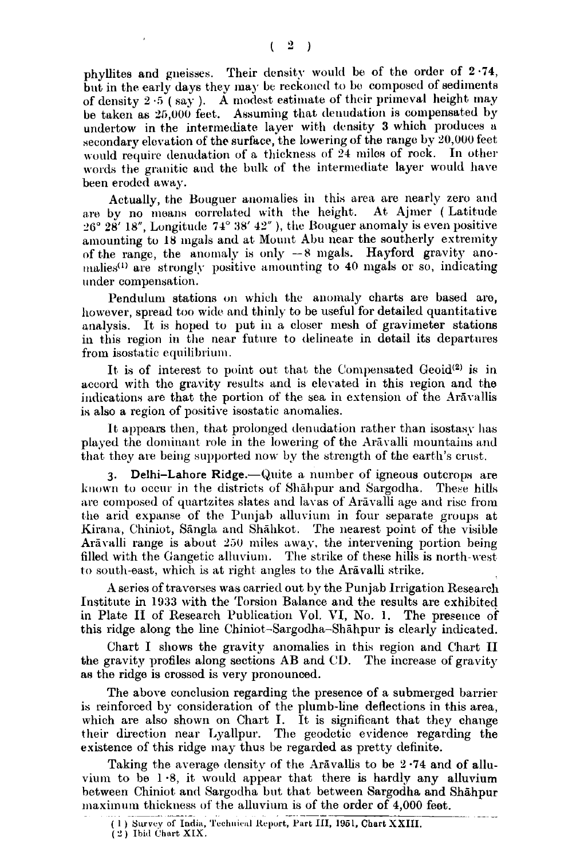#### $2 \rightarrow$ **C**

phyllites and gueisses. Their density would be of the order of 2.74, but in the early days they may be reckoned to be composed of sediments of density  $2 \cdot 5$  (say ). A modest estimate of their primeval height may be taken as 25,000 feet. Assuming that denudation is compensated by undertow in the intermediate layer with density 3 which produces a secondary elevation of the surface, the lowering of the range by  $20,000$  feet would require denudation of a thickness of 24 miles of rock. In other words the granitic and the bulk of the intermediate layer would have been eroded away.

Actually, the Bouguer anomalies in this area are nearly zero and are by no means correlated with the height. At Ajmer ( Latitude **.'Go 28' 18",** Longitutle **74' 38' 15"** ), tile Bouguer snomaly is even positive amounting to 18 mgals and at Mount Abu near the southerly extremity of the range, the anomaly is only  $-8$  mgals. Hayford gravity anomalies<sup>(1)</sup> are strongly positive amounting to 40 mgals or so, indicating under compensation.

Pendulum stations on which the anomaly charts are based are, however, spread too wide and thinly to be useful for detailed quantitative analysis. It is hoped to put in a closer mesh of gravimeter stations in this region in the near future to delineate in detail its departures from isostatic equilibrium.

It is of interest to point out that the Compensated Geoid<sup>(2)</sup> is in accord with the gravity results **and** is elevated in this region and the indications are that the portion of the sea in extension of the Arāvallis is also a region of positive isostatic anomalies.

It appears then, that prolonged denudation rather than isostasy has played the dominant role in the lowering of the Aravalli mountains and that, they are being supported now by the strength of the earth's crust.

**3.** Delhi-Lahore Ridge.-- Quite a number of igneous outcrops are known to occur in the districts of Shahpur and Sargodha. These hills are composed of quartzites slates and lavas of Arāvalli age and rise from the arid expanse of the Punjab alluvium in four separate groups at Kirana, Chiniot, Sangla and Shahkot. The nearest point of the visible Aravalli range is about 250 miles away, the intervening portion being filled with the Gangetic alluvium. The strike of these hills is north-west **to** south-east, which is at right angles to the Aravalli strike.

**A** series of traverses was carried out by the Punjab Irrigation Research Institute in 1933 with the Torsion Balance and the results are exhibited in Plate II of Research Publication Vol. VI, No. 1. The presence of this ridge along the line Chiniot-Sargodha-Shāhpur is clearly indicated.

Chart I shows the gravity anomalies in this region and Chart II the gravity profiles along sections AB and **CL).** The increase of gravity as the ridge is crossed is very pronounced.

The above conclusion regarding the presence of a submerged barrier is reinforced by consideration of the plumb-line deflections in this area, which are also shown on Chart I. It is significant that they change their direction near Lyallpur. The geodetic evidence regarding the existence of this ridge may thus be regarded as pretty definite.

Taking the average density of the Aravallis to be 2.74 and of alluvium to be  $1.8$ , it would appear that there is hardly any alluvium hetween Chiniot and Sargodha but that between Sargodha and Shahpur maximum thickness of the alluvium is of the order of 4,000 feet.<br>(1) Survey of India, Technical Report, Part **III**, 1951, Chart XXIII.

 $(2)$  **Ibid Chart XIX.**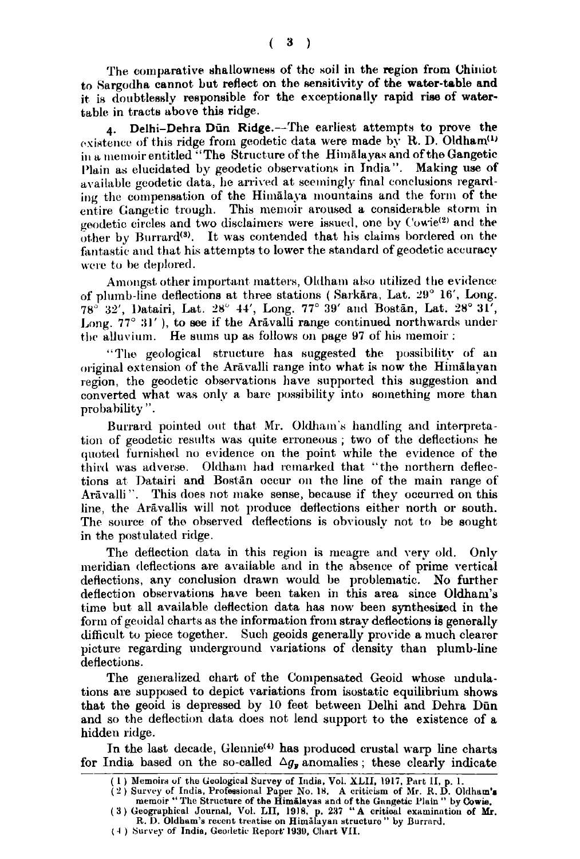The comparative shallowness of the soil in the region from Chiniot to Sargodha cannot but reflect on the sensitivity of the water-table and it is doubtlessly responsible for the exceptionally rapid rise of watertable in tracts above this ridge.

4. Delhi-Dehra Dün Ridge.-The earliest attempts to prove the existence of this ridge from geodetic data were made by R. D. Oldham<sup>(1)</sup> in a memoir entitled "The Structure of the Himalayas and of the Gangetic Plain as elucidated by geodetic observations in India". Making use of available geodetic data, he arrived at seemingly final conclusions regarding the compensation of the Himalaya mountains and the form of the entire Gangetic trough. This memoir aroused a considerable storm in geodetic circles and two disclaimers were issued, one by Cowie<sup>(2)</sup> and the other by Burrard<sup>(3)</sup>. It was contended that his claims bordered on the fantastic and that his attempts to lower the standard of geodetic accuracy were to be deplored.

Amongst other important matters, Oldham also utilized the evidence of plumb-line deflections at three stations (Sarkāra, Lat. 29° 16', Long. 78° 32', Datairi, Lat. 28° 44', Long. 77° 39' and Bostan, Lat. 28° 31', Long. 77° 31'), to see if the Aravalli range continued northwards under the alluvium. He sums up as follows on page 97 of his memoir:

"The geological structure has suggested the possibility of an original extension of the Aravalli range into what is now the Himalayan region, the geodetic observations have supported this suggestion and converted what was only a bare possibility into something more than probability".

Burrard pointed out that Mr. Oldham's handling and interpretation of geodetic results was quite erroneous; two of the deflections he quoted furnished no evidence on the point while the evidence of the third was adverse. Oldham had remarked that "the northern deflections at Datairi and Bostan occur on the line of the main range of Arāvalli". This does not make sense, because if they occurred on this line, the Aravallis will not produce deflections either north or south. The source of the observed deflections is obviously not to be sought in the postulated ridge.

The deflection data in this region is meagre and very old. Only meridian deflections are available and in the absence of prime vertical deflections, any conclusion drawn would be problematic. No further deflection observations have been taken in this area since Oldham's time but all available deflection data has now been synthesized in the form of geoidal charts as the information from stray deflections is generally difficult to piece together. Such geoids generally provide a much clearer picture regarding underground variations of density than plumb-line deflections.

The generalized chart of the Compensated Geoid whose undulations are supposed to depict variations from isostatic equilibrium shows that the geoid is depressed by 10 feet between Delhi and Dehra Dūn and so the deflection data does not lend support to the existence of a hidden ridge.

In the last decade, Glennie<sup>(4)</sup> has produced crustal warp line charts for India based on the so-called  $\Delta g_r$  anomalies; these clearly indicate

<sup>(1)</sup> Memoirs of the Geological Survey of India, Vol. XLII, 1917, Part II, p. 1.<br>
(2) Survey of India, Professional Paper No. 18. A criticism of Mr. R. D. Oldham's<br>
memoir "The Structure of the Himalayas and of the Gangetic

<sup>(4)</sup> Survey of India, Geodetic Report 1930, Chart VII.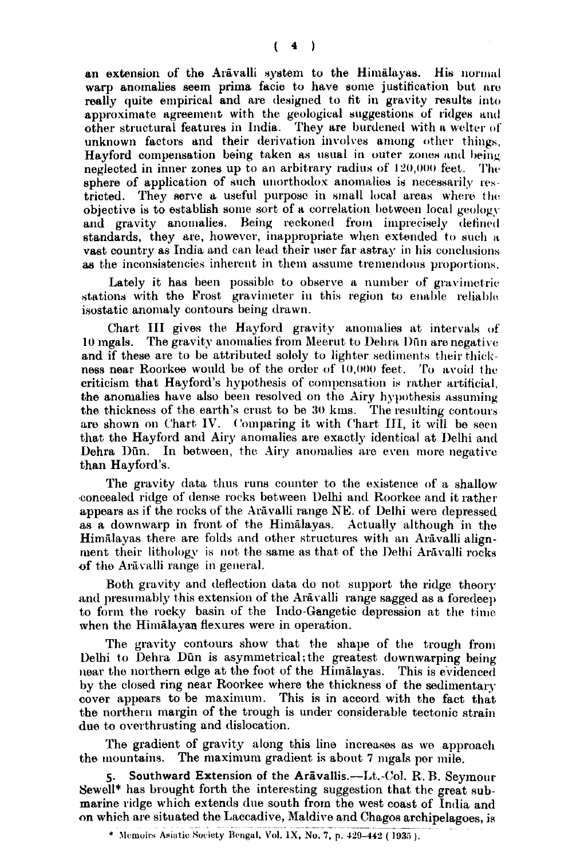$4$ €

an extension of the Aravalli system to the Himalayas. His normal warp anomalies seem prima facie to have some justification but are really quite empirical and are designed to fit in gravity results into approximate agreement with the geological suggestions of ridges and other structural features in India. They are burdened with a welter of unknown factors and their derivation involves among other things, Hayford compensation being taken as usual in outer zones and being neglected in inner zones up to an arbitrary radius of 120,000 feet. The sphere of application of such unorthodox anomalies is necessarily restricted. They serve a useful purpose in small local areas where the objective is to establish some sort of a correlation between local geology and gravity anomalies. Being reckoned from imprecisely defined standards, they are, however, inappropriate when extended to such a vast country as India and can lead their user far astray in his conclusions as the inconsistencies inherent in them assume tremendous proportions.

Lately it has been possible to observe a number of gravimetric stations with the Frost gravimeter in this region to enable reliable isostatic anomaly contours being drawn.

Chart III gives the Hayford gravity anomalies at intervals of 10 mgals. The gravity anomalies from Meerut to Dehra Dūn are negative and if these are to be attributed solely to lighter sediments their thickness near Roorkee would be of the order of 10,000 feet. To avoid the criticism that Hayford's hypothesis of compensation is rather artificial. the anomalies have also been resolved on the Airy hypothesis assuming the thickness of the earth's crust to be 30 kms. The resulting contours are shown on Chart IV. Comparing it with Chart III, it will be seen that the Hayford and Airy anomalies are exactly identical at Delhi and Dehra Dün. In between, the Airy anomalies are even more negative than Hayford's.

The gravity data thus runs counter to the existence of a shallow concealed ridge of dense rocks between Delhi and Roorkee and it rather appears as if the rocks of the Arāvalli range NE. of Delhi were depressed as a downwarp in front of the Himalayas. Actually although in the Himalayas there are folds and other structures with an Aravalli alignment their lithology is not the same as that of the Delhi Arāvalli rocks of the Aravalli range in general.

Both gravity and deflection data do not support the ridge theory and presumably this extension of the Aravalli range sagged as a foredeep to form the rocky basin of the Indo-Gangetic depression at the time when the Himalayan flexures were in operation.

The gravity contours show that the shape of the trough from Delhi to Dehra Dün is asymmetrical; the greatest downwarping being near the northern edge at the foot of the Himalayas. This is evidenced by the closed ring near Roorkee where the thickness of the sedimentary cover appears to be maximum. This is in accord with the fact that the northern margin of the trough is under considerable tectonic strain due to overthrusting and dislocation.

The gradient of gravity along this line increases as we approach the mountains. The maximum gradient is about 7 mgals per mile.

5. Southward Extension of the Aravallis.—Lt.-Col. R. B. Seymour Sewell\* has brought forth the interesting suggestion that the great submarine ridge which extends due south from the west coast of India and on which are situated the Laccadive, Maldive and Chagos archipelagoes, is

<sup>\*</sup> Memoirs Asiatic Society Bengal, Vol. 1X, No. 7, p. 429-442 (1935).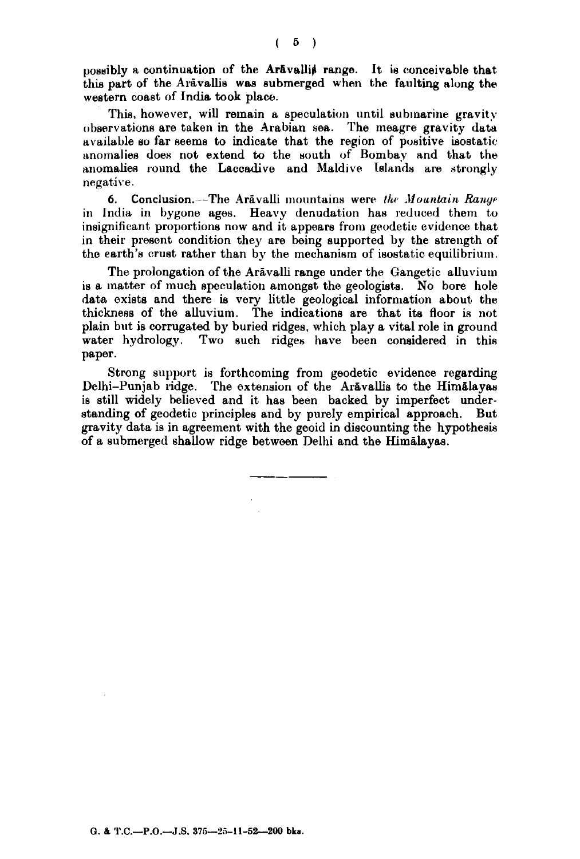possibly a continuation of the Aravallis range. It is conceivable that this part of the Arāvallis was submerged when the faulting along the western coast of India took place.

This, however, will remain a speculation until submarine gravity observations are taken in the Arabian sea. The meagre gravity data available so far seems to indicate that the region of positive isostatic anomalies does not extend to the south of Bombay and that the anomalies round the Laccadive and Maldive Islands are strongly negative.

**6. Conclusion.**--The Aravalli mountains were the Mountain Range in India in bygone ages. Heavy denudation has reduced them to insignificant proportions now and it appears from geodetic evidence that in their present condition they are being supported by the strength of the earth's crust rather than by the mechanism of isostatic equilibrium.

The prolongation of the Arāvalli range under the Gangetic alluvium is a matter of much speculation amongst the geologists. No bore hole data exists and there is very little geological information about the thickness of the alluvium. The indications are that its floor is not plain but is corrugated by buried ridges, which play a vital role in ground water hydrology. Two such ridges have been considered in this paper.

Strong support is forthcoming from geodetic evidence regarding Delhi-Punjab ridge. The extension of the Aravallis to the Himalayas is still widely believed and it has been backed by imperfect understanding of geodetic principles and by purely empirical approach. But gravity data is in agreement with the geoid in discounting the hypothesis of a submerged shallow ridge between Delhi and the Himalayas.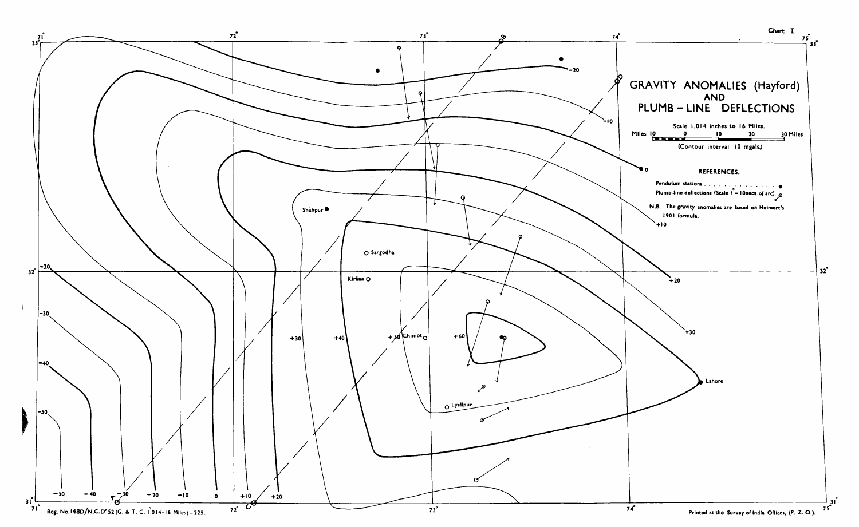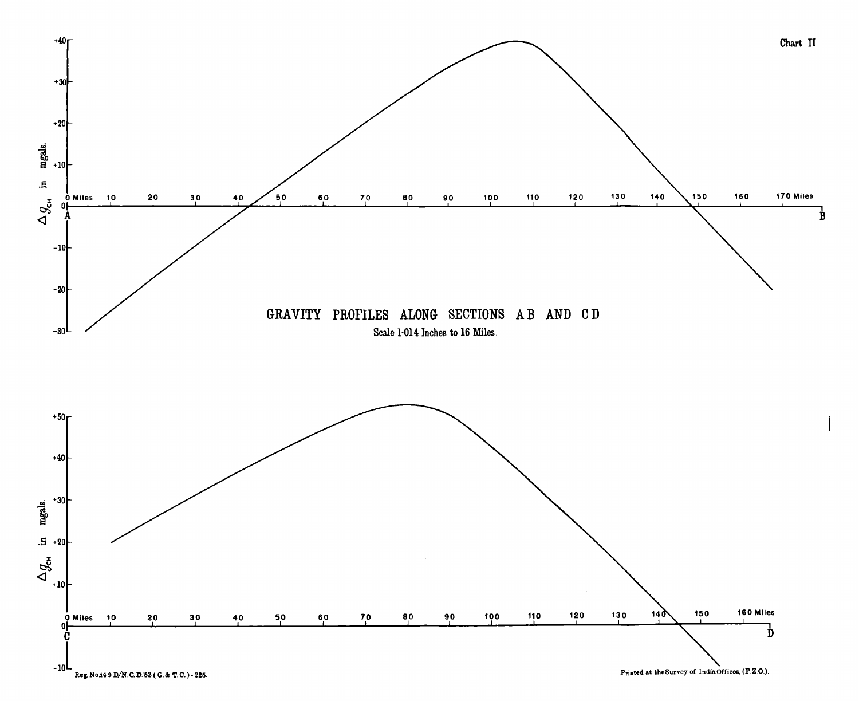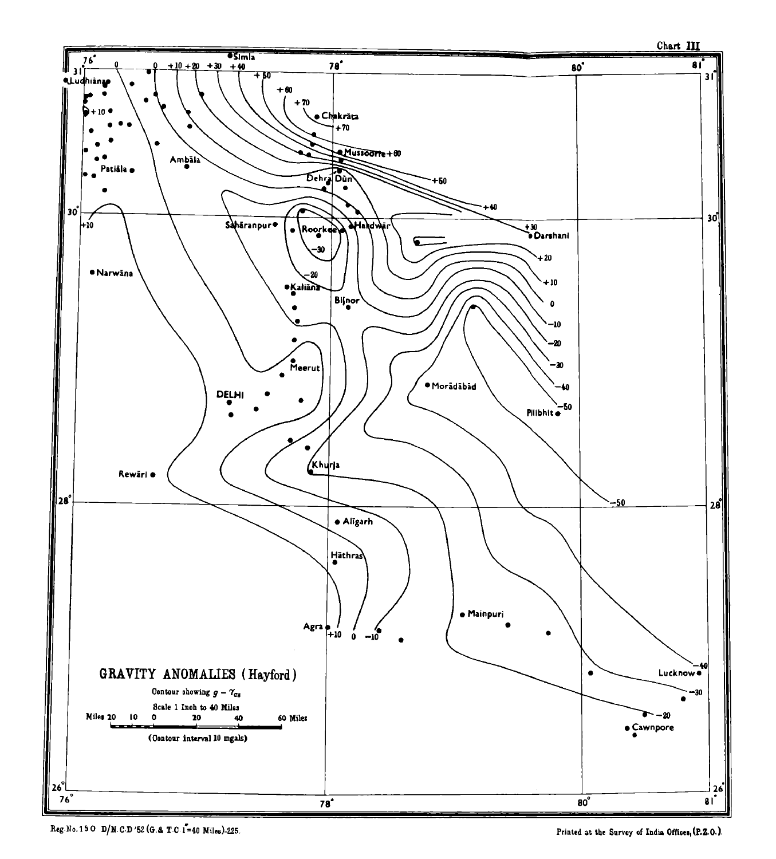